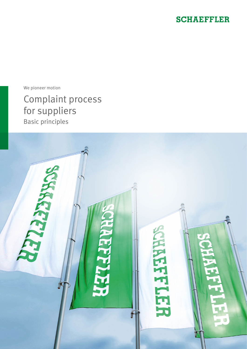### **SCHAEFFLER**

We pioneer motion

## Complaint process for suppliers Basic principles

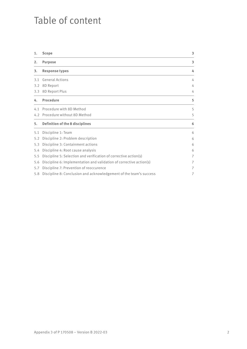## Table of content

| 1.  | <b>Scope</b>                                                        | 3 |
|-----|---------------------------------------------------------------------|---|
| 2.  | <b>Purpose</b>                                                      | 3 |
| 3.  | <b>Response types</b>                                               | 4 |
| 3.1 | <b>General Actions</b>                                              | 4 |
| 3.2 | 8D Report                                                           | 4 |
|     | 3.3 8D Report Plus                                                  | 4 |
| 4.  | <b>Procedure</b>                                                    | 5 |
| 4.1 | Procedure with 8D Method                                            | 5 |
|     | 4.2 Procedure without 8D Method                                     | 5 |
| 5.  | <b>Definition of the 8 disciplines</b>                              | 6 |
| 5.1 | Discipline 1: Team                                                  | 6 |
| 5.2 | Discipline 2: Problem description                                   | 6 |
| 5.3 | Discipline 3: Containment actions                                   | 6 |
| 5.4 | Discipline 4: Root cause analysis                                   | 6 |
| 5.5 | Discipline 5: Selection and verification of corrective action(s)    | 7 |
| 5.6 | Discipline 6: Implementation and validation of corrective action(s) | 7 |
| 5.7 | Discipline 7: Prevention of reoccurence                             | 7 |
| 5.8 | Discipline 8: Conclusion and acknowledgement of the team's success  | 7 |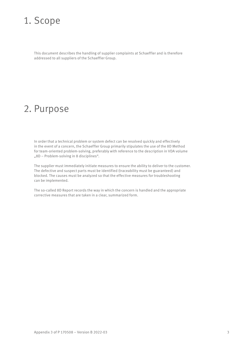## 1. Scope

This document describes the handling of supplier complaints at Schaeffler and is therefore addressed to all suppliers of the Schaeffler Group.

### 2. Purpose

In order that a technical problem or system defect can be resolved quickly and effectively in the event of a concern, the Schaeffler Group primarily stipulates the use of the 8D Method for team-oriented problem-solving, preferably with reference to the description in VDA volume "8D – Problem-solving in 8 disciplines".

The supplier must immediately initiate measures to ensure the ability to deliver to the customer. The defective and suspect parts must be identified (traceability must be guaranteed) and blocked. The causes must be analyzed so that the effective measures for troubleshooting can be implemented.

The so-called 8D Report records the way in which the concern is handled and the appropriate corrective measures that are taken in a clear, summarized form.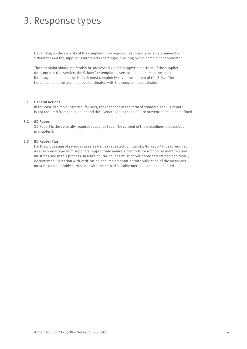# 3. Response types

Depending on the severity of the complaint, the required response type is determined by Schaeffler and the supplier is informed accordingly in writing by the complaint coordinator.

The complaint should preferably be processed via the SupplyOn platform. If the supplier does not use this service, the Schaeffler templates, see attachments, must be used. If the supplier has its own form, it must completely cover the content of the Schaeffler templates, and the use must be coordinated with the complaint coordinator.

#### **3.1 General Actions**

In the case of simple logistical failures, the response in the form of standardized 8D Report is not required from the supplier and the "General Actions" to failure prevention must be defined.

#### **3.2 8D Report**

8D Report is the generally required response type. The content of the disciplines is described in chapter 5.

#### **3.3 8D Report Plus**

For the processing of serious cases as well as repeated complaints, 8D Report Plus is required as a response type from suppliers. Appropriate analysis methods for root cause identification must be used in this process. In addition, the causes must be verifiably determined and clearly documented. Selection with verification and implementation with validation of the measures must be demonstrably carried out with the help of suitable methods and documented.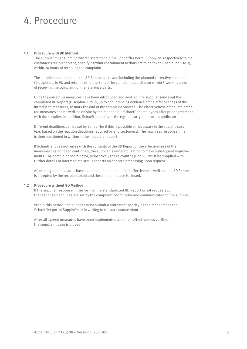# 4. Procedure

#### **4.1 Procedure with 8D Method**

The supplier must submit a written statement in the Schaeffler Portal SupplyOn, respectively to the customer's recipient plant, specifying what containment actions are to be taken (Discipline 1 to 3), within 24 hours of receiving the complaint.

The supplier must complete the 8D Report, up to and including the planned corrective measures (Discipline 1 to 5), and return this to the Schaeffler complaint coordinator within 5 working days of receiving the complaint or the reference parts.

Once the corrective measures have been introduced and verified, the supplier sends out the completed 8D Report (Discipline 1 to 8), up to and including evidence of the effectiveness of the introduced measures, to mark the end of the complaint process. The effectiveness of the implemented measures can be verified on site by the responsible Schaeffler employees after prior agreement with the supplier. In addition, Schaeffler reserves the right to carry out process audits on site.

Different deadlines can be set by Schaeffler if this is possible or necessary in the specific case (e.g. based on the reaction deadlines required by end customers). The newly set response time is then mentioned in writing in the inspection report.

If Schaeffler does not agree with the contents of the 8D Report or the effectiveness of the measures has not been confirmed, the supplier is under obligation to make subsequent improvements. The complaint coordinator, respectively the relevant SQE or SLE must be supplied with further details or intermediate status reports on concern processing upon request.

After all agreed measures have been implemented and their effectiveness verified, the 8D Report is accepted by the recipient plant and the complaint case is closed.

#### **4.2 Procedure without 8D Method**

If the supplier response in the form of the standardized 8D Report is not requested, the response deadlines are set by the complaint coordinator and communicated to the supplier.

Within this period, the supplier must submit a statement specifying the measures in the Schaeffler portal SupplyOn or in writing to the acceptance plant.

After all agreed measures have been implemented and their effectiveness verified, the complaint case is closed.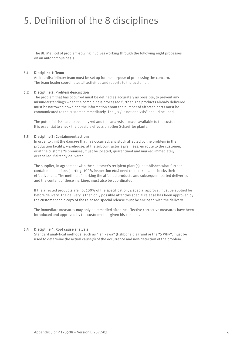# 5. Definition of the 8 disciplines

The 8D Method of problem-solving involves working through the following eight processes on an autonomous basis:

#### **5.1 Discipline 1: Team**

An interdisciplinary team must be set up for the purpose of processing the concern. The team leader coordinates all activities and reports to the customer.

#### **5.2 Discipline 2: Problem description**

The problem that has occurred must be defined as accurately as possible, to prevent any misunderstandings when the complaint is processed further. The products already delivered must be narrowed down and the information about the number of affected parts must be communicated to the customer immediately. The "Is / Is not analysis" should be used.

The potential risks are to be analyzed and this analysis is made available to the customer. It is essential to check the possible effects on other Schaeffler plants.

#### **5.3 Discipline 3: Containment actions**

In order to limit the damage that has occurred, any stock affected by the problem in the production facility, warehouse, at the subcontractor's premises, en route to the customer, or at the customer's premises, must be located, quarantined and marked immediately, or recalled if already delivered.

The supplier, in agreement with the customer's recipient plant(s), establishes what further containment actions (sorting, 100% inspection etc.) need to be taken and checks their effectiveness. The method of marking the affected products and subsequent sorted deliveries and the content of these markings must also be coordinated.

If the affected products are not 100% of the specification, a special approval must be applied for before delivery. The delivery is then only possible after this special release has been approved by the customer and a copy of the released special release must be enclosed with the delivery.

The immediate measures may only be remedied after the effective corrective measures have been introduced and approved by the customer has given his consent.

#### **5.4 Discipline 4: Root cause analysis**

Standard analytical methods, such as "Ishikawa" (fishbone diagram) or the "5 Why", must be used to determine the actual cause(s) of the occurrence and non-detection of the problem.